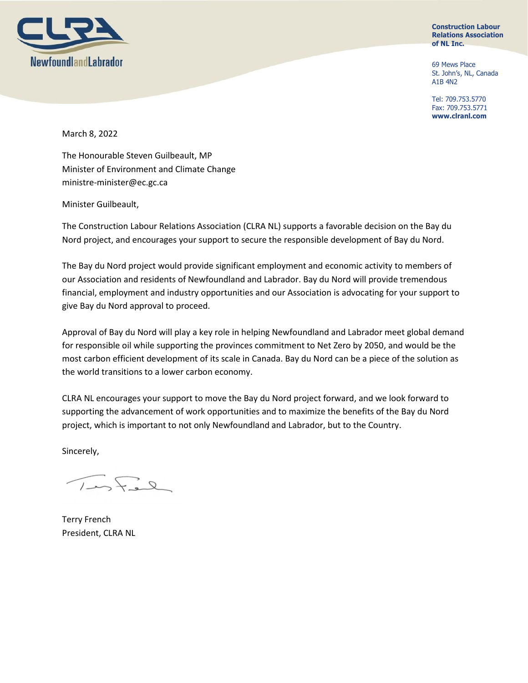

**Construction Labour Relations Association of NL Inc.**

69 Mews Place St. John's, NL, Canada A1B 4N2

Tel: 709.753.5770 Fax: 709.753.5771 **www.clranl.com**

March 8, 2022

The Honourable Steven Guilbeault, MP Minister of Environment and Climate Change ministre-minister@ec.gc.ca

Minister Guilbeault,

The Construction Labour Relations Association (CLRA NL) supports a favorable decision on the Bay du Nord project, and encourages your support to secure the responsible development of Bay du Nord.

The Bay du Nord project would provide significant employment and economic activity to members of our Association and residents of Newfoundland and Labrador. Bay du Nord will provide tremendous financial, employment and industry opportunities and our Association is advocating for your support to give Bay du Nord approval to proceed.

Approval of Bay du Nord will play a key role in helping Newfoundland and Labrador meet global demand for responsible oil while supporting the provinces commitment to Net Zero by 2050, and would be the most carbon efficient development of its scale in Canada. Bay du Nord can be a piece of the solution as the world transitions to a lower carbon economy.

CLRA NL encourages your support to move the Bay du Nord project forward, and we look forward to supporting the advancement of work opportunities and to maximize the benefits of the Bay du Nord project, which is important to not only Newfoundland and Labrador, but to the Country.

Sincerely,

 $27 - 7$ 

Terry French President, CLRA NL